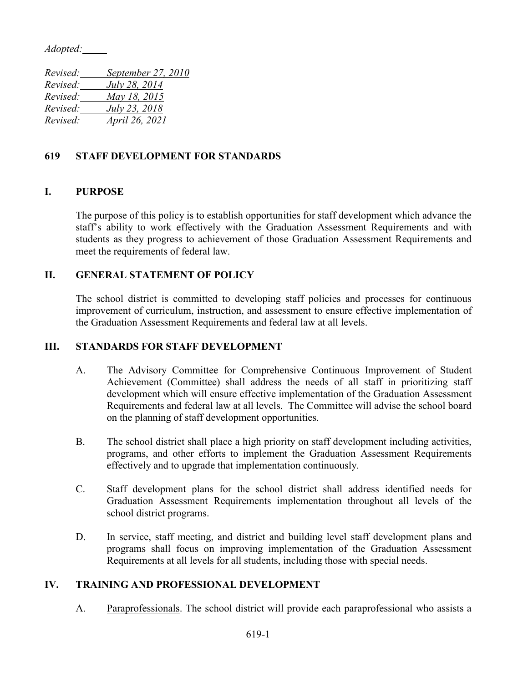*Adopted:*

| Revised: | September 27, 2010    |
|----------|-----------------------|
| Revised: | July 28, 2014         |
| Revised: | May 18, 2015          |
| Revised: | <i>July 23, 2018</i>  |
| Revised: | <i>April 26, 2021</i> |
|          |                       |

# **619 STAFF DEVELOPMENT FOR STANDARDS**

## **I. PURPOSE**

The purpose of this policy is to establish opportunities for staff development which advance the staff's ability to work effectively with the Graduation Assessment Requirements and with students as they progress to achievement of those Graduation Assessment Requirements and meet the requirements of federal law.

## **II. GENERAL STATEMENT OF POLICY**

The school district is committed to developing staff policies and processes for continuous improvement of curriculum, instruction, and assessment to ensure effective implementation of the Graduation Assessment Requirements and federal law at all levels.

### **III. STANDARDS FOR STAFF DEVELOPMENT**

- A. The Advisory Committee for Comprehensive Continuous Improvement of Student Achievement (Committee) shall address the needs of all staff in prioritizing staff development which will ensure effective implementation of the Graduation Assessment Requirements and federal law at all levels. The Committee will advise the school board on the planning of staff development opportunities.
- B. The school district shall place a high priority on staff development including activities, programs, and other efforts to implement the Graduation Assessment Requirements effectively and to upgrade that implementation continuously.
- C. Staff development plans for the school district shall address identified needs for Graduation Assessment Requirements implementation throughout all levels of the school district programs.
- D. In service, staff meeting, and district and building level staff development plans and programs shall focus on improving implementation of the Graduation Assessment Requirements at all levels for all students, including those with special needs.

### **IV. TRAINING AND PROFESSIONAL DEVELOPMENT**

A. Paraprofessionals. The school district will provide each paraprofessional who assists a